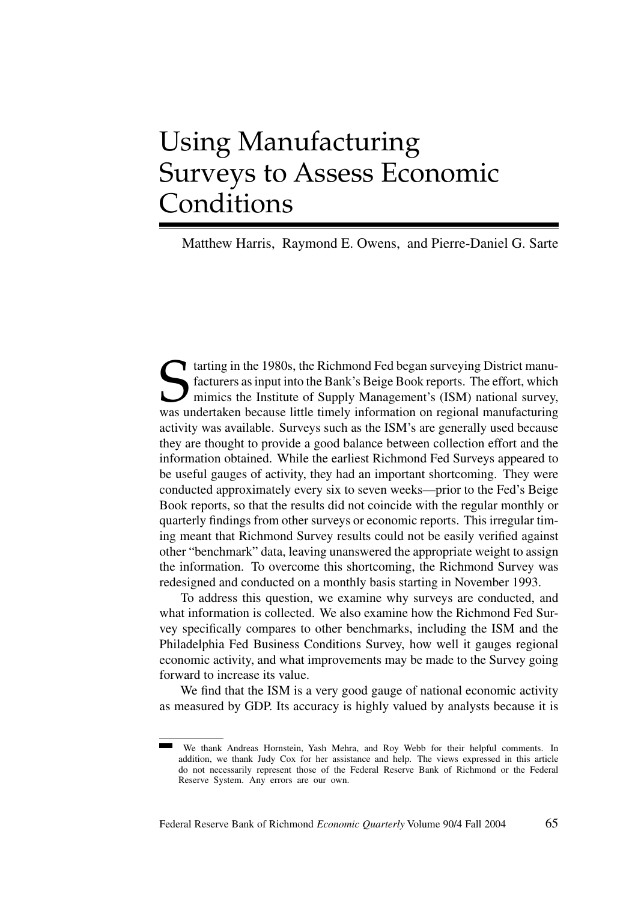# Using Manufacturing Surveys to Assess Economic Conditions

Matthew Harris, Raymond E. Owens, and Pierre-Daniel G. Sarte

Starting in the 1980s, the Richmond Fed began surveying District manu-<br>facturers as input into the Bank's Beige Book reports. The effort, which<br>mimics the Institute of Supply Management's (ISM) national survey,<br>was underta facturers as input into the Bank's Beige Book reports. The effort, which mimics the Institute of Supply Management's (ISM) national survey, was undertaken because little timely information on regional manufacturing activity was available. Surveys such as the ISM's are generally used because they are thought to provide a good balance between collection effort and the information obtained. While the earliest Richmond Fed Surveys appeared to be useful gauges of activity, they had an important shortcoming. They were conducted approximately every six to seven weeks—prior to the Fed's Beige Book reports, so that the results did not coincide with the regular monthly or quarterly findings from other surveys or economic reports. This irregular timing meant that Richmond Survey results could not be easily verified against other "benchmark" data, leaving unanswered the appropriate weight to assign the information. To overcome this shortcoming, the Richmond Survey was redesigned and conducted on a monthly basis starting in November 1993.

To address this question, we examine why surveys are conducted, and what information is collected. We also examine how the Richmond Fed Survey specifically compares to other benchmarks, including the ISM and the Philadelphia Fed Business Conditions Survey, how well it gauges regional economic activity, and what improvements may be made to the Survey going forward to increase its value.

We find that the ISM is a very good gauge of national economic activity as measured by GDP. Its accuracy is highly valued by analysts because it is

We thank Andreas Hornstein, Yash Mehra, and Roy Webb for their helpful comments. In addition, we thank Judy Cox for her assistance and help. The views expressed in this article do not necessarily represent those of the Federal Reserve Bank of Richmond or the Federal Reserve System. Any errors are our own.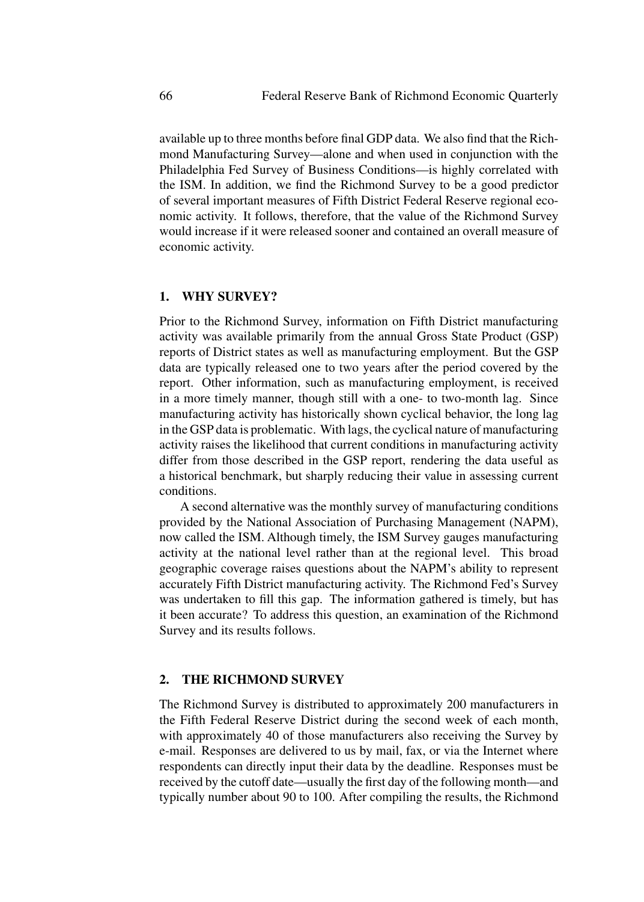available up to three months before final GDP data. We also find that the Richmond Manufacturing Survey—alone and when used in conjunction with the Philadelphia Fed Survey of Business Conditions—is highly correlated with the ISM. In addition, we find the Richmond Survey to be a good predictor of several important measures of Fifth District Federal Reserve regional economic activity. It follows, therefore, that the value of the Richmond Survey would increase if it were released sooner and contained an overall measure of economic activity.

## **1. WHY SURVEY?**

Prior to the Richmond Survey, information on Fifth District manufacturing activity was available primarily from the annual Gross State Product (GSP) reports of District states as well as manufacturing employment. But the GSP data are typically released one to two years after the period covered by the report. Other information, such as manufacturing employment, is received in a more timely manner, though still with a one- to two-month lag. Since manufacturing activity has historically shown cyclical behavior, the long lag in the GSP data is problematic. With lags, the cyclical nature of manufacturing activity raises the likelihood that current conditions in manufacturing activity differ from those described in the GSP report, rendering the data useful as a historical benchmark, but sharply reducing their value in assessing current conditions.

A second alternative was the monthly survey of manufacturing conditions provided by the National Association of Purchasing Management (NAPM), now called the ISM. Although timely, the ISM Survey gauges manufacturing activity at the national level rather than at the regional level. This broad geographic coverage raises questions about the NAPM's ability to represent accurately Fifth District manufacturing activity. The Richmond Fed's Survey was undertaken to fill this gap. The information gathered is timely, but has it been accurate? To address this question, an examination of the Richmond Survey and its results follows.

## **2. THE RICHMOND SURVEY**

The Richmond Survey is distributed to approximately 200 manufacturers in the Fifth Federal Reserve District during the second week of each month, with approximately 40 of those manufacturers also receiving the Survey by e-mail. Responses are delivered to us by mail, fax, or via the Internet where respondents can directly input their data by the deadline. Responses must be received by the cutoff date—usually the first day of the following month—and typically number about 90 to 100. After compiling the results, the Richmond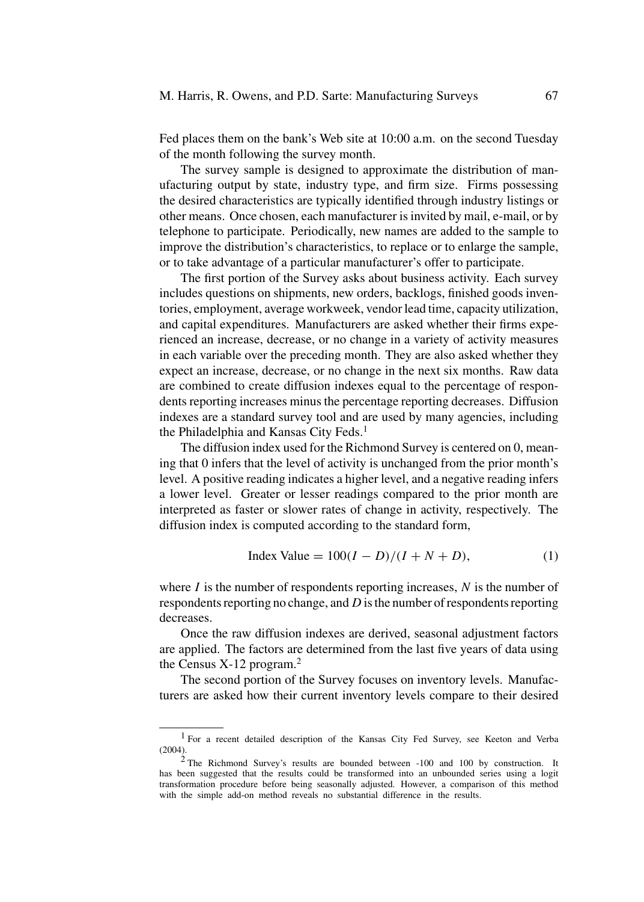Fed places them on the bank's Web site at 10:00 a.m. on the second Tuesday of the month following the survey month.

The survey sample is designed to approximate the distribution of manufacturing output by state, industry type, and firm size. Firms possessing the desired characteristics are typically identified through industry listings or other means. Once chosen, each manufacturer is invited by mail, e-mail, or by telephone to participate. Periodically, new names are added to the sample to improve the distribution's characteristics, to replace or to enlarge the sample, or to take advantage of a particular manufacturer's offer to participate.

The first portion of the Survey asks about business activity. Each survey includes questions on shipments, new orders, backlogs, finished goods inventories, employment, average workweek, vendor lead time, capacity utilization, and capital expenditures. Manufacturers are asked whether their firms experienced an increase, decrease, or no change in a variety of activity measures in each variable over the preceding month. They are also asked whether they expect an increase, decrease, or no change in the next six months. Raw data are combined to create diffusion indexes equal to the percentage of respondents reporting increases minus the percentage reporting decreases. Diffusion indexes are a standard survey tool and are used by many agencies, including the Philadelphia and Kansas City Feds.<sup>1</sup>

The diffusion index used for the Richmond Survey is centered on 0, meaning that 0 infers that the level of activity is unchanged from the prior month's level. A positive reading indicates a higher level, and a negative reading infers a lower level. Greater or lesser readings compared to the prior month are interpreted as faster or slower rates of change in activity, respectively. The diffusion index is computed according to the standard form,

$$
Index Value = 100(I - D)/(I + N + D),
$$
 (1)

where  $I$  is the number of respondents reporting increases,  $N$  is the number of respondents reporting no change, and D is the number of respondents reporting decreases.

Once the raw diffusion indexes are derived, seasonal adjustment factors are applied. The factors are determined from the last five years of data using the Census  $X-12$  program.<sup>2</sup>

The second portion of the Survey focuses on inventory levels. Manufacturers are asked how their current inventory levels compare to their desired

<sup>1</sup> For a recent detailed description of the Kansas City Fed Survey, see Keeton and Verba (2004).

<sup>2</sup> The Richmond Survey's results are bounded between -100 and 100 by construction. It has been suggested that the results could be transformed into an unbounded series using a logit transformation procedure before being seasonally adjusted. However, a comparison of this method with the simple add-on method reveals no substantial difference in the results.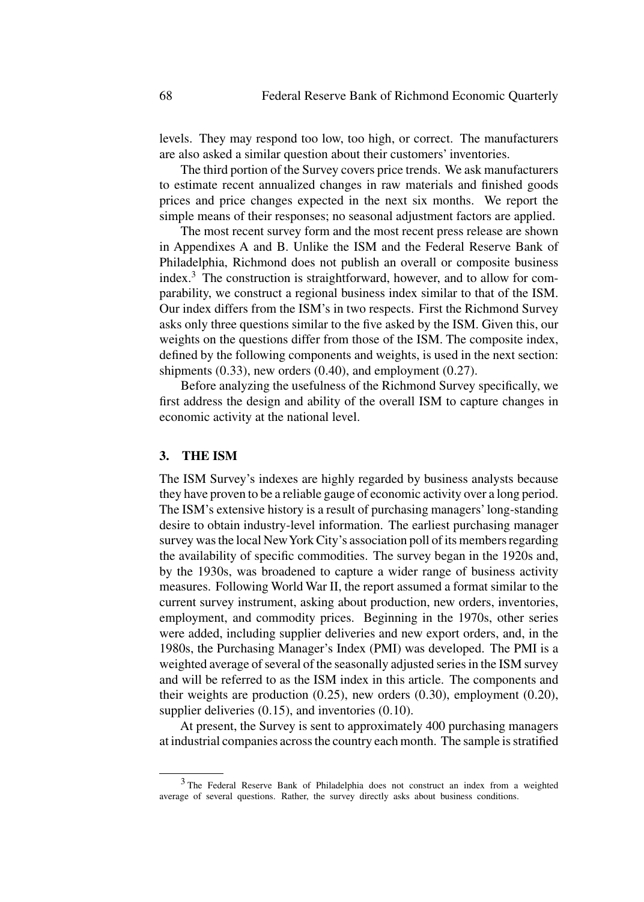levels. They may respond too low, too high, or correct. The manufacturers are also asked a similar question about their customers' inventories.

The third portion of the Survey covers price trends. We ask manufacturers to estimate recent annualized changes in raw materials and finished goods prices and price changes expected in the next six months. We report the simple means of their responses; no seasonal adjustment factors are applied.

The most recent survey form and the most recent press release are shown in Appendixes A and B. Unlike the ISM and the Federal Reserve Bank of Philadelphia, Richmond does not publish an overall or composite business index.<sup>3</sup> The construction is straightforward, however, and to allow for comparability, we construct a regional business index similar to that of the ISM. Our index differs from the ISM's in two respects. First the Richmond Survey asks only three questions similar to the five asked by the ISM. Given this, our weights on the questions differ from those of the ISM. The composite index, defined by the following components and weights, is used in the next section: shipments  $(0.33)$ , new orders  $(0.40)$ , and employment  $(0.27)$ .

Before analyzing the usefulness of the Richmond Survey specifically, we first address the design and ability of the overall ISM to capture changes in economic activity at the national level.

## **3. THE ISM**

The ISM Survey's indexes are highly regarded by business analysts because they have proven to be a reliable gauge of economic activity over a long period. The ISM's extensive history is a result of purchasing managers' long-standing desire to obtain industry-level information. The earliest purchasing manager survey was the local NewYork City's association poll of its members regarding the availability of specific commodities. The survey began in the 1920s and, by the 1930s, was broadened to capture a wider range of business activity measures. Following World War II, the report assumed a format similar to the current survey instrument, asking about production, new orders, inventories, employment, and commodity prices. Beginning in the 1970s, other series were added, including supplier deliveries and new export orders, and, in the 1980s, the Purchasing Manager's Index (PMI) was developed. The PMI is a weighted average of several of the seasonally adjusted series in the ISM survey and will be referred to as the ISM index in this article. The components and their weights are production (0.25), new orders (0.30), employment (0.20), supplier deliveries  $(0.15)$ , and inventories  $(0.10)$ .

At present, the Survey is sent to approximately 400 purchasing managers at industrial companies across the country each month. The sample is stratified

<sup>&</sup>lt;sup>3</sup> The Federal Reserve Bank of Philadelphia does not construct an index from a weighted average of several questions. Rather, the survey directly asks about business conditions.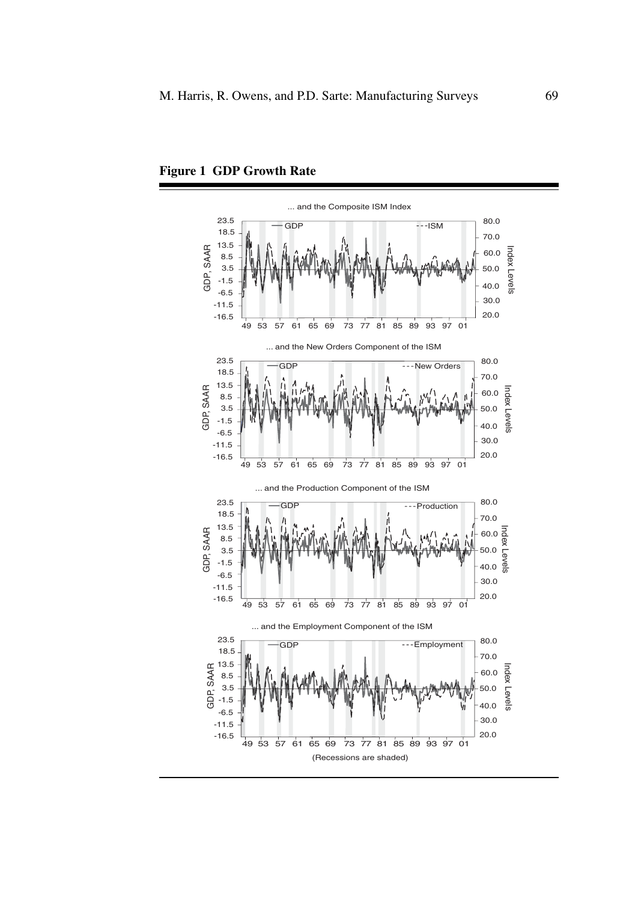

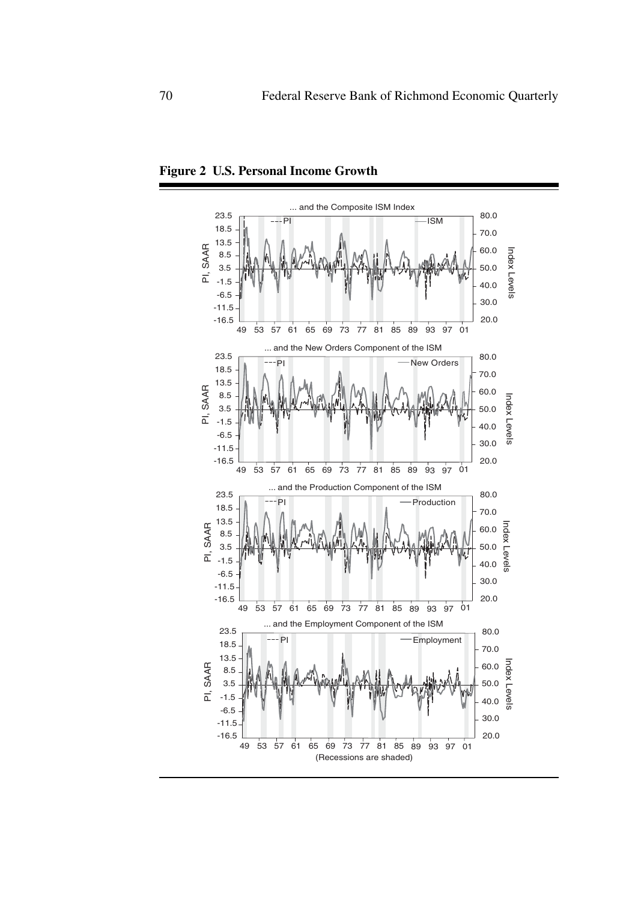

**Figure 2 U.S. Personal Income Growth**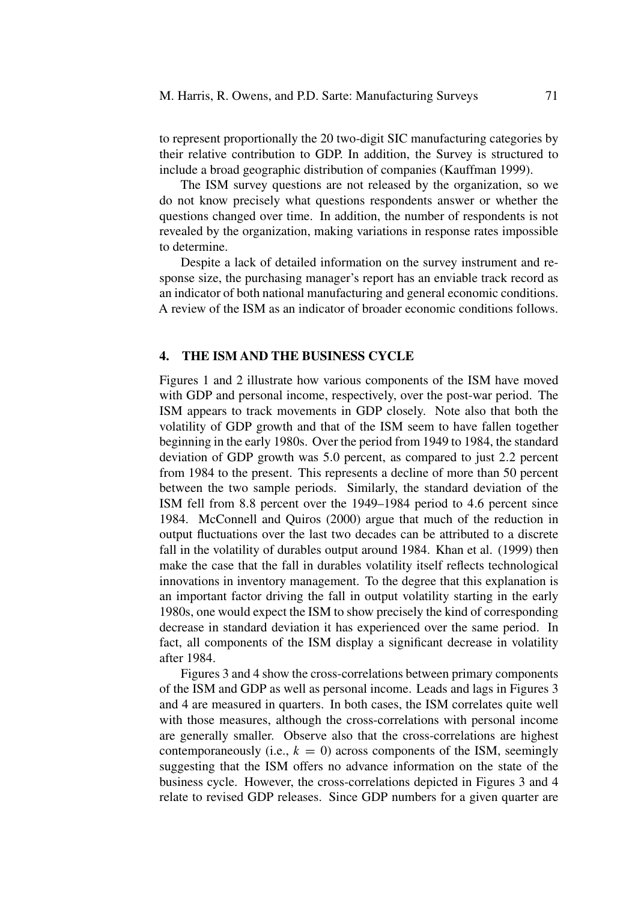to represent proportionally the 20 two-digit SIC manufacturing categories by their relative contribution to GDP. In addition, the Survey is structured to include a broad geographic distribution of companies (Kauffman 1999).

The ISM survey questions are not released by the organization, so we do not know precisely what questions respondents answer or whether the questions changed over time. In addition, the number of respondents is not revealed by the organization, making variations in response rates impossible to determine.

Despite a lack of detailed information on the survey instrument and response size, the purchasing manager's report has an enviable track record as an indicator of both national manufacturing and general economic conditions. A review of the ISM as an indicator of broader economic conditions follows.

## **4. THE ISM AND THE BUSINESS CYCLE**

Figures 1 and 2 illustrate how various components of the ISM have moved with GDP and personal income, respectively, over the post-war period. The ISM appears to track movements in GDP closely. Note also that both the volatility of GDP growth and that of the ISM seem to have fallen together beginning in the early 1980s. Over the period from 1949 to 1984, the standard deviation of GDP growth was 5.0 percent, as compared to just 2.2 percent from 1984 to the present. This represents a decline of more than 50 percent between the two sample periods. Similarly, the standard deviation of the ISM fell from 8.8 percent over the 1949–1984 period to 4.6 percent since 1984. McConnell and Quiros (2000) argue that much of the reduction in output fluctuations over the last two decades can be attributed to a discrete fall in the volatility of durables output around 1984. Khan et al. (1999) then make the case that the fall in durables volatility itself reflects technological innovations in inventory management. To the degree that this explanation is an important factor driving the fall in output volatility starting in the early 1980s, one would expect the ISM to show precisely the kind of corresponding decrease in standard deviation it has experienced over the same period. In fact, all components of the ISM display a significant decrease in volatility after 1984.

Figures 3 and 4 show the cross-correlations between primary components of the ISM and GDP as well as personal income. Leads and lags in Figures 3 and 4 are measured in quarters. In both cases, the ISM correlates quite well with those measures, although the cross-correlations with personal income are generally smaller. Observe also that the cross-correlations are highest contemporaneously (i.e.,  $k = 0$ ) across components of the ISM, seemingly suggesting that the ISM offers no advance information on the state of the business cycle. However, the cross-correlations depicted in Figures 3 and 4 relate to revised GDP releases. Since GDP numbers for a given quarter are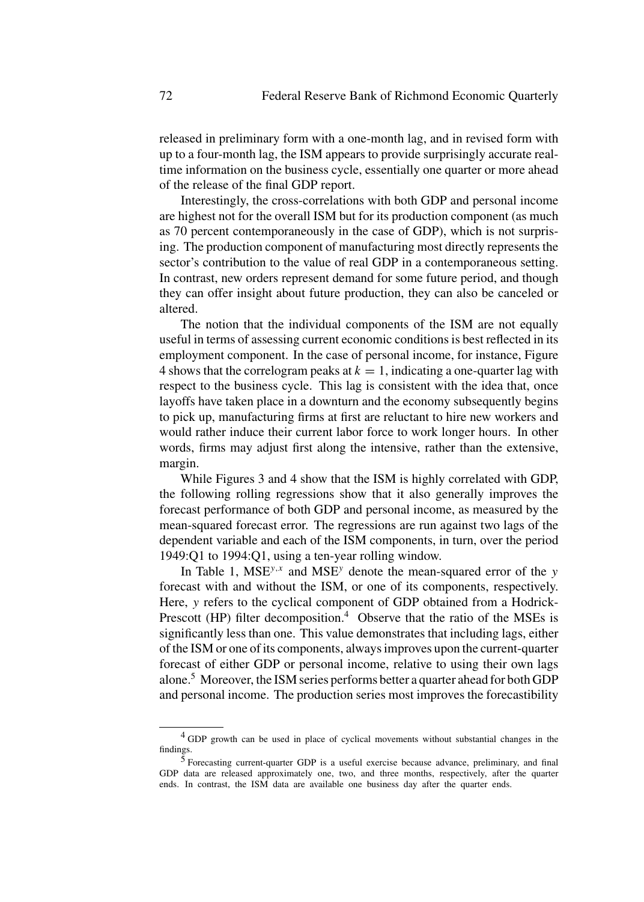released in preliminary form with a one-month lag, and in revised form with up to a four-month lag, the ISM appears to provide surprisingly accurate realtime information on the business cycle, essentially one quarter or more ahead of the release of the final GDP report.

Interestingly, the cross-correlations with both GDP and personal income are highest not for the overall ISM but for its production component (as much as 70 percent contemporaneously in the case of GDP), which is not surprising. The production component of manufacturing most directly represents the sector's contribution to the value of real GDP in a contemporaneous setting. In contrast, new orders represent demand for some future period, and though they can offer insight about future production, they can also be canceled or altered.

The notion that the individual components of the ISM are not equally useful in terms of assessing current economic conditions is best reflected in its employment component. In the case of personal income, for instance, Figure 4 shows that the correlogram peaks at  $k = 1$ , indicating a one-quarter lag with respect to the business cycle. This lag is consistent with the idea that, once layoffs have taken place in a downturn and the economy subsequently begins to pick up, manufacturing firms at first are reluctant to hire new workers and would rather induce their current labor force to work longer hours. In other words, firms may adjust first along the intensive, rather than the extensive, margin.

While Figures 3 and 4 show that the ISM is highly correlated with GDP, the following rolling regressions show that it also generally improves the forecast performance of both GDP and personal income, as measured by the mean-squared forecast error. The regressions are run against two lags of the dependent variable and each of the ISM components, in turn, over the period 1949:Q1 to 1994:Q1, using a ten-year rolling window.

In Table 1,  $MSE^{y,x}$  and  $MSE^{y}$  denote the mean-squared error of the y forecast with and without the ISM, or one of its components, respectively. Here, y refers to the cyclical component of GDP obtained from a Hodrick-Prescott (HP) filter decomposition.<sup>4</sup> Observe that the ratio of the MSEs is significantly less than one. This value demonstrates that including lags, either of the ISM or one of its components, always improves upon the current-quarter forecast of either GDP or personal income, relative to using their own lags alone.<sup>5</sup> Moreover, the ISM series performs better a quarter ahead for both GDP and personal income. The production series most improves the forecastibility

<sup>4</sup> GDP growth can be used in place of cyclical movements without substantial changes in the findings.

<sup>5</sup> Forecasting current-quarter GDP is a useful exercise because advance, preliminary, and final GDP data are released approximately one, two, and three months, respectively, after the quarter ends. In contrast, the ISM data are available one business day after the quarter ends.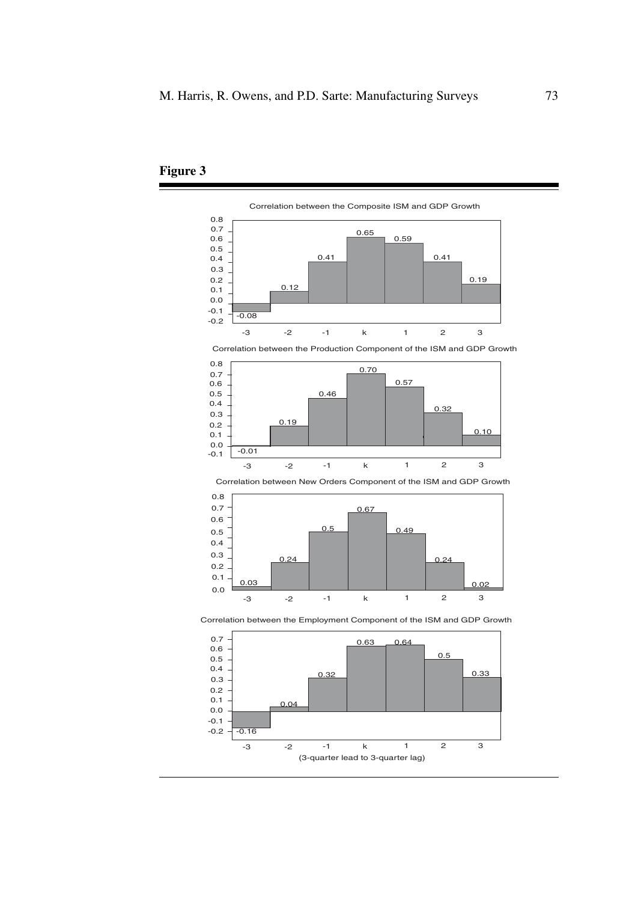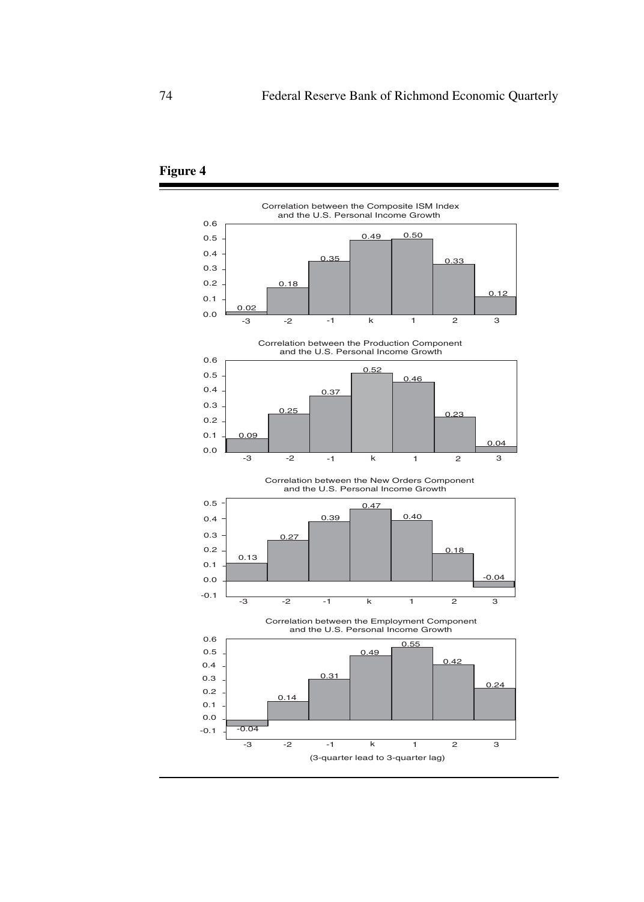

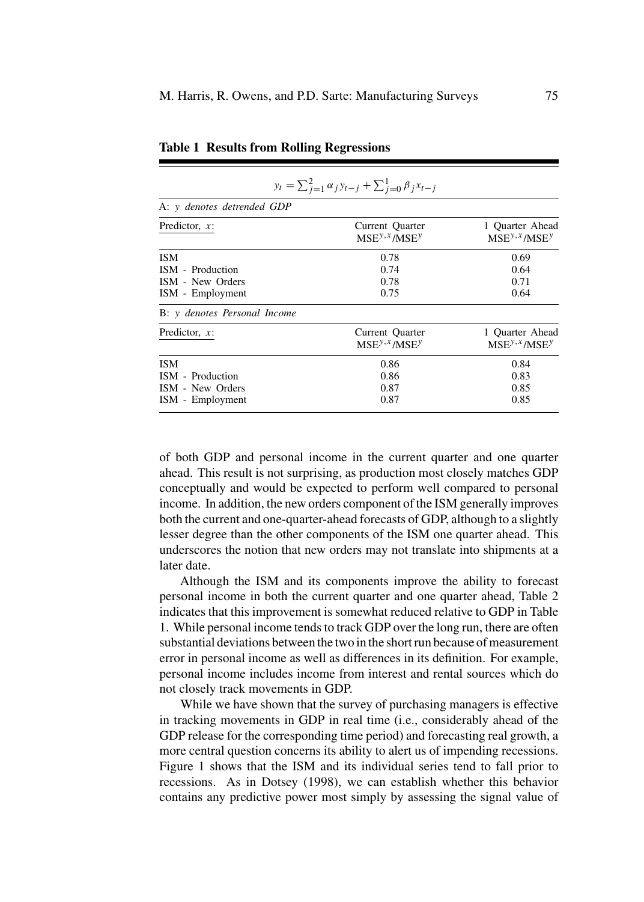|                              | $y_t = \sum_{j=1}^2 \alpha_j y_{t-j} + \sum_{j=0}^1 \beta_j x_{t-j}$ |                                      |
|------------------------------|----------------------------------------------------------------------|--------------------------------------|
| A: y denotes detrended GDP   |                                                                      |                                      |
| Predictor, $x$ :             | Current Quarter<br>$MSEy$ , $X/MSEy$                                 | 1 Quarter Ahead<br>$MSEy$ , $X/MSEy$ |
| <b>ISM</b>                   | 0.78                                                                 | 0.69                                 |
| ISM - Production             | 0.74                                                                 | 0.64                                 |
| ISM - New Orders             | 0.78                                                                 | 0.71                                 |
| ISM - Employment             | 0.75                                                                 | 0.64                                 |
| B: y denotes Personal Income |                                                                      |                                      |
| Predictor, $x$ :             | Current Quarter<br>$MSEy,x/MSEy$                                     | 1 Ouarter Ahead<br>$MSEy$ , $X/MSEy$ |
| <b>ISM</b>                   | 0.86                                                                 | 0.84                                 |
| ISM - Production             | 0.86                                                                 | 0.83                                 |
| ISM - New Orders             | 0.87                                                                 | 0.85                                 |
| ISM - Employment             | 0.87                                                                 | 0.85                                 |

**Table 1 Results from Rolling Regressions**

of both GDP and personal income in the current quarter and one quarter ahead. This result is not surprising, as production most closely matches GDP conceptually and would be expected to perform well compared to personal income. In addition, the new orders component of the ISM generally improves both the current and one-quarter-ahead forecasts of GDP, although to a slightly lesser degree than the other components of the ISM one quarter ahead. This underscores the notion that new orders may not translate into shipments at a later date.

Although the ISM and its components improve the ability to forecast personal income in both the current quarter and one quarter ahead, Table 2 indicates that this improvement is somewhat reduced relative to GDP in Table 1. While personal income tends to track GDP over the long run, there are often substantial deviations between the two in the short run because of measurement error in personal income as well as differences in its definition. For example, personal income includes income from interest and rental sources which do not closely track movements in GDP.

While we have shown that the survey of purchasing managers is effective in tracking movements in GDP in real time (i.e., considerably ahead of the GDP release for the corresponding time period) and forecasting real growth, a more central question concerns its ability to alert us of impending recessions. Figure 1 shows that the ISM and its individual series tend to fall prior to recessions. As in Dotsey (1998), we can establish whether this behavior contains any predictive power most simply by assessing the signal value of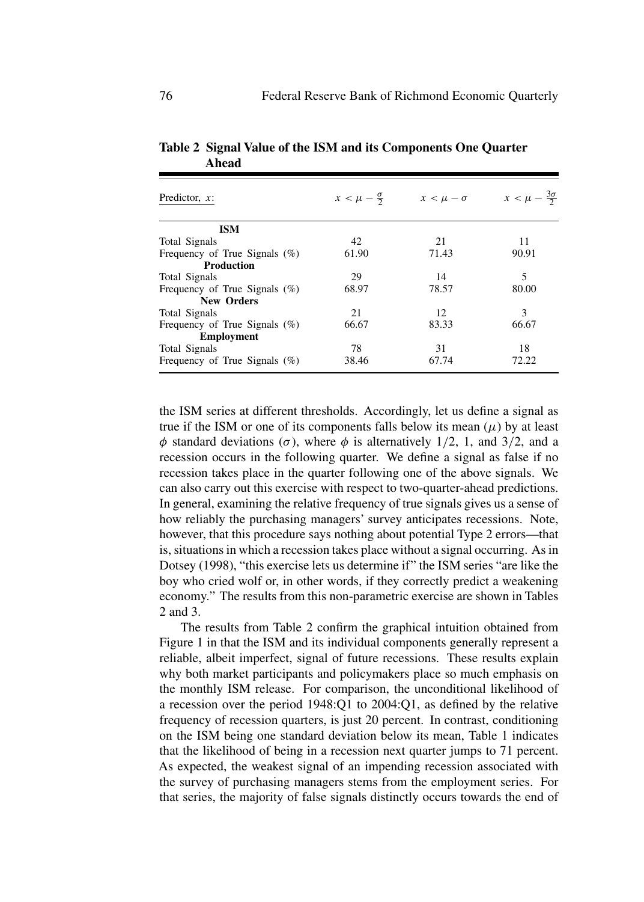| Predictor, $x$ :                 | $x < \mu - \frac{\sigma}{2}$ | $x < \mu - \sigma$ | $x < \mu - \frac{3\sigma}{2}$ |
|----------------------------------|------------------------------|--------------------|-------------------------------|
| <b>ISM</b>                       |                              |                    |                               |
| Total Signals                    | 42.                          | 21                 | 11                            |
| Frequency of True Signals $(\%)$ | 61.90                        | 71.43              | 90.91                         |
| <b>Production</b>                |                              |                    |                               |
| Total Signals                    | 29                           | 14                 | 5                             |
| Frequency of True Signals $(\%)$ | 68.97                        | 78.57              | 80.00                         |
| <b>New Orders</b>                |                              |                    |                               |
| Total Signals                    | 21                           | 12                 | 3                             |
| Frequency of True Signals $(\%)$ | 66.67                        | 83.33              | 66.67                         |
| <b>Employment</b>                |                              |                    |                               |
| Total Signals                    | 78                           | 31                 | 18                            |
| Frequency of True Signals $(\%)$ | 38.46                        | 67.74              | 72.22.                        |

**Table 2 Signal Value of the ISM and its Components One Quarter Ahead**

the ISM series at different thresholds. Accordingly, let us define a signal as true if the ISM or one of its components falls below its mean  $(\mu)$  by at least φ standard deviations (σ), where φ is alternatively 1/2, 1, and 3/2, and a recession occurs in the following quarter. We define a signal as false if no recession takes place in the quarter following one of the above signals. We can also carry out this exercise with respect to two-quarter-ahead predictions. In general, examining the relative frequency of true signals gives us a sense of how reliably the purchasing managers' survey anticipates recessions. Note, however, that this procedure says nothing about potential Type 2 errors—that is, situations in which a recession takes place without a signal occurring. As in Dotsey (1998), "this exercise lets us determine if" the ISM series "are like the boy who cried wolf or, in other words, if they correctly predict a weakening economy." The results from this non-parametric exercise are shown in Tables 2 and 3.

The results from Table 2 confirm the graphical intuition obtained from Figure 1 in that the ISM and its individual components generally represent a reliable, albeit imperfect, signal of future recessions. These results explain why both market participants and policymakers place so much emphasis on the monthly ISM release. For comparison, the unconditional likelihood of a recession over the period 1948:Q1 to 2004:Q1, as defined by the relative frequency of recession quarters, is just 20 percent. In contrast, conditioning on the ISM being one standard deviation below its mean, Table 1 indicates that the likelihood of being in a recession next quarter jumps to 71 percent. As expected, the weakest signal of an impending recession associated with the survey of purchasing managers stems from the employment series. For that series, the majority of false signals distinctly occurs towards the end of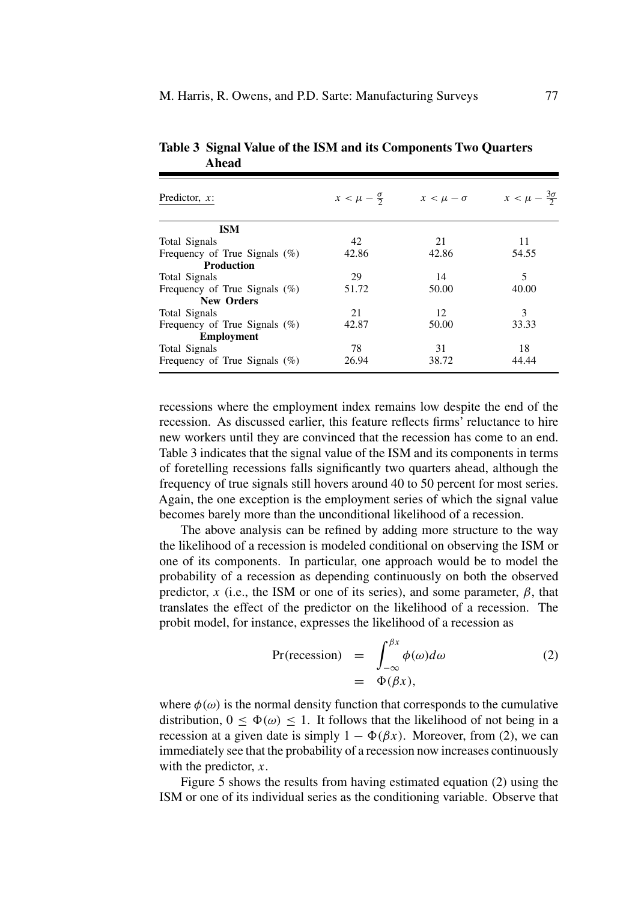| Predictor, $x$ :                 | $x < \mu - \frac{\sigma}{2}$ | $x < \mu - \sigma$ | $x < \mu - \frac{3\sigma}{2}$ |
|----------------------------------|------------------------------|--------------------|-------------------------------|
| <b>ISM</b>                       |                              |                    |                               |
| Total Signals                    | 42                           | 21                 | 11                            |
| Frequency of True Signals $(\%)$ | 42.86                        | 42.86              | 54.55                         |
| <b>Production</b>                |                              |                    |                               |
| Total Signals                    | 29                           | 14                 | 5                             |
| Frequency of True Signals $(\%)$ | 51.72                        | 50.00              | 40.00                         |
| <b>New Orders</b>                |                              |                    |                               |
| Total Signals                    | 21                           | 12                 | 3                             |
| Frequency of True Signals $(\%)$ | 42.87                        | 50.00              | 33.33                         |
| <b>Employment</b>                |                              |                    |                               |
| Total Signals                    | 78                           | 31                 | 18                            |
| Frequency of True Signals $(\%)$ | 26.94                        | 38.72              | 44.44                         |

**Table 3 Signal Value of the ISM and its Components Two Quarters Ahead**

recessions where the employment index remains low despite the end of the recession. As discussed earlier, this feature reflects firms' reluctance to hire new workers until they are convinced that the recession has come to an end. Table 3 indicates that the signal value of the ISM and its components in terms of foretelling recessions falls significantly two quarters ahead, although the frequency of true signals still hovers around 40 to 50 percent for most series. Again, the one exception is the employment series of which the signal value becomes barely more than the unconditional likelihood of a recession.

The above analysis can be refined by adding more structure to the way the likelihood of a recession is modeled conditional on observing the ISM or one of its components. In particular, one approach would be to model the probability of a recession as depending continuously on both the observed predictor, x (i.e., the ISM or one of its series), and some parameter,  $\beta$ , that translates the effect of the predictor on the likelihood of a recession. The probit model, for instance, expresses the likelihood of a recession as

$$
Pr(recession) = \int_{-\infty}^{\beta x} \phi(\omega) d\omega
$$
  
=  $\Phi(\beta x),$  (2)

where  $\phi(\omega)$  is the normal density function that corresponds to the cumulative distribution,  $0 \leq \Phi(\omega) \leq 1$ . It follows that the likelihood of not being in a recession at a given date is simply  $1 - \Phi(\beta x)$ . Moreover, from (2), we can immediately see that the probability of a recession now increases continuously with the predictor,  $x$ .

Figure 5 shows the results from having estimated equation (2) using the ISM or one of its individual series as the conditioning variable. Observe that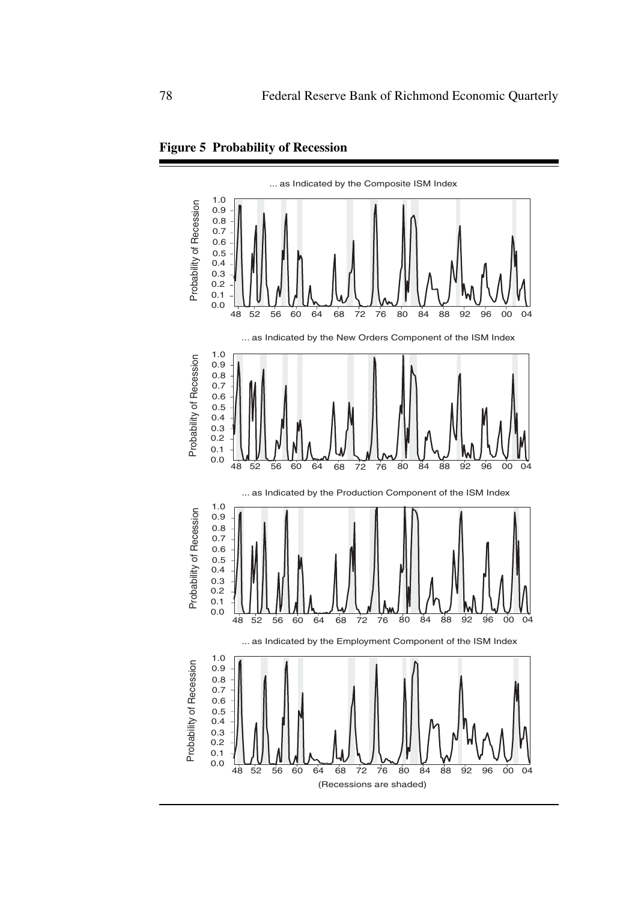

**Figure 5 Probability of Recession**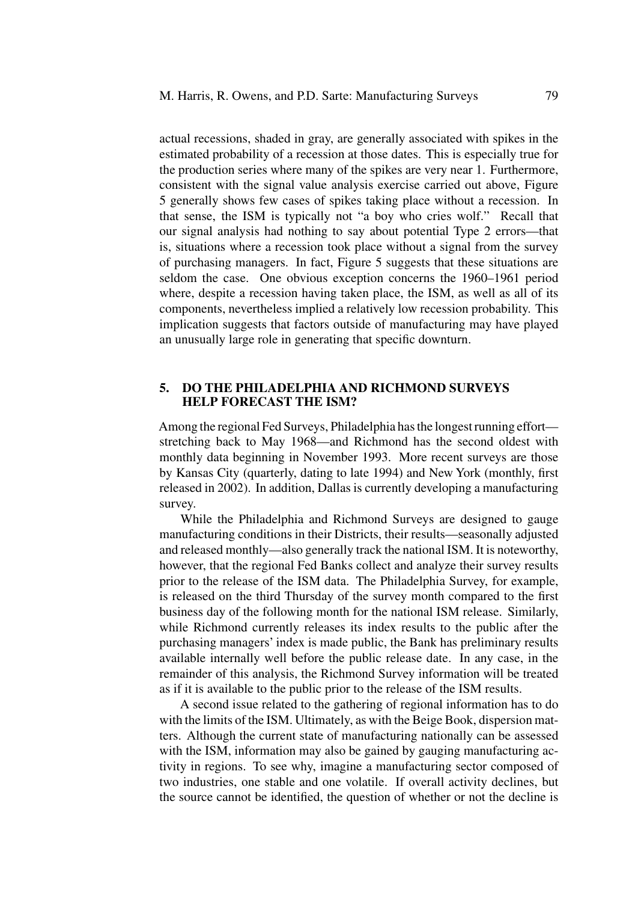actual recessions, shaded in gray, are generally associated with spikes in the estimated probability of a recession at those dates. This is especially true for the production series where many of the spikes are very near 1. Furthermore, consistent with the signal value analysis exercise carried out above, Figure 5 generally shows few cases of spikes taking place without a recession. In that sense, the ISM is typically not "a boy who cries wolf." Recall that our signal analysis had nothing to say about potential Type 2 errors—that is, situations where a recession took place without a signal from the survey of purchasing managers. In fact, Figure 5 suggests that these situations are seldom the case. One obvious exception concerns the 1960–1961 period where, despite a recession having taken place, the ISM, as well as all of its components, nevertheless implied a relatively low recession probability. This implication suggests that factors outside of manufacturing may have played an unusually large role in generating that specific downturn.

## **5. DO THE PHILADELPHIA AND RICHMOND SURVEYS HELP FORECAST THE ISM?**

Among the regional Fed Surveys, Philadelphia has the longest running effort stretching back to May 1968—and Richmond has the second oldest with monthly data beginning in November 1993. More recent surveys are those by Kansas City (quarterly, dating to late 1994) and New York (monthly, first released in 2002). In addition, Dallas is currently developing a manufacturing survey.

While the Philadelphia and Richmond Surveys are designed to gauge manufacturing conditions in their Districts, their results—seasonally adjusted and released monthly—also generally track the national ISM. It is noteworthy, however, that the regional Fed Banks collect and analyze their survey results prior to the release of the ISM data. The Philadelphia Survey, for example, is released on the third Thursday of the survey month compared to the first business day of the following month for the national ISM release. Similarly, while Richmond currently releases its index results to the public after the purchasing managers' index is made public, the Bank has preliminary results available internally well before the public release date. In any case, in the remainder of this analysis, the Richmond Survey information will be treated as if it is available to the public prior to the release of the ISM results.

A second issue related to the gathering of regional information has to do with the limits of the ISM. Ultimately, as with the Beige Book, dispersion matters. Although the current state of manufacturing nationally can be assessed with the ISM, information may also be gained by gauging manufacturing activity in regions. To see why, imagine a manufacturing sector composed of two industries, one stable and one volatile. If overall activity declines, but the source cannot be identified, the question of whether or not the decline is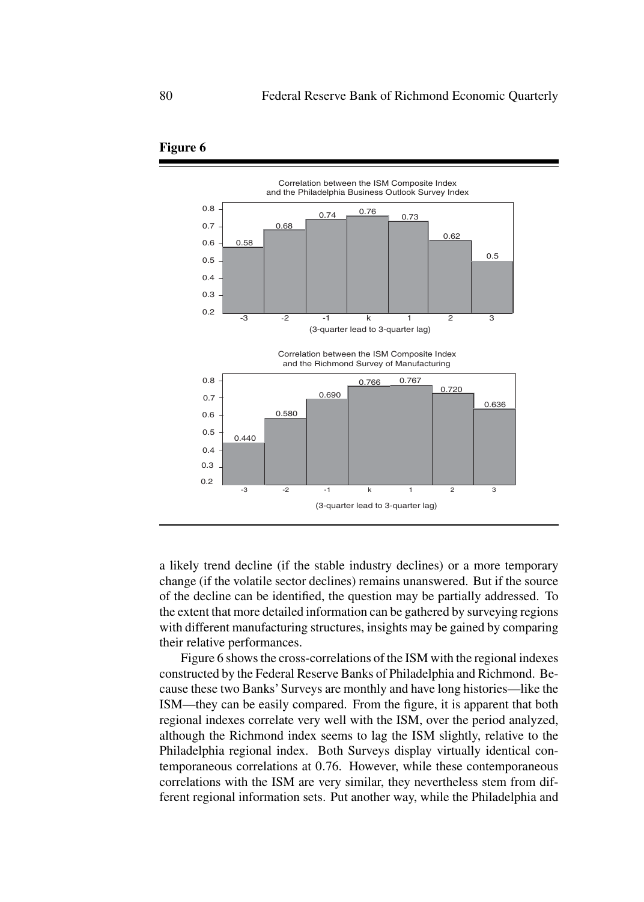

a likely trend decline (if the stable industry declines) or a more temporary change (if the volatile sector declines) remains unanswered. But if the source of the decline can be identified, the question may be partially addressed. To the extent that more detailed information can be gathered by surveying regions with different manufacturing structures, insights may be gained by comparing their relative performances.

Figure 6 shows the cross-correlations of the ISM with the regional indexes constructed by the Federal Reserve Banks of Philadelphia and Richmond. Because these two Banks' Surveys are monthly and have long histories—like the ISM—they can be easily compared. From the figure, it is apparent that both regional indexes correlate very well with the ISM, over the period analyzed, although the Richmond index seems to lag the ISM slightly, relative to the Philadelphia regional index. Both Surveys display virtually identical contemporaneous correlations at 0.76. However, while these contemporaneous correlations with the ISM are very similar, they nevertheless stem from different regional information sets. Put another way, while the Philadelphia and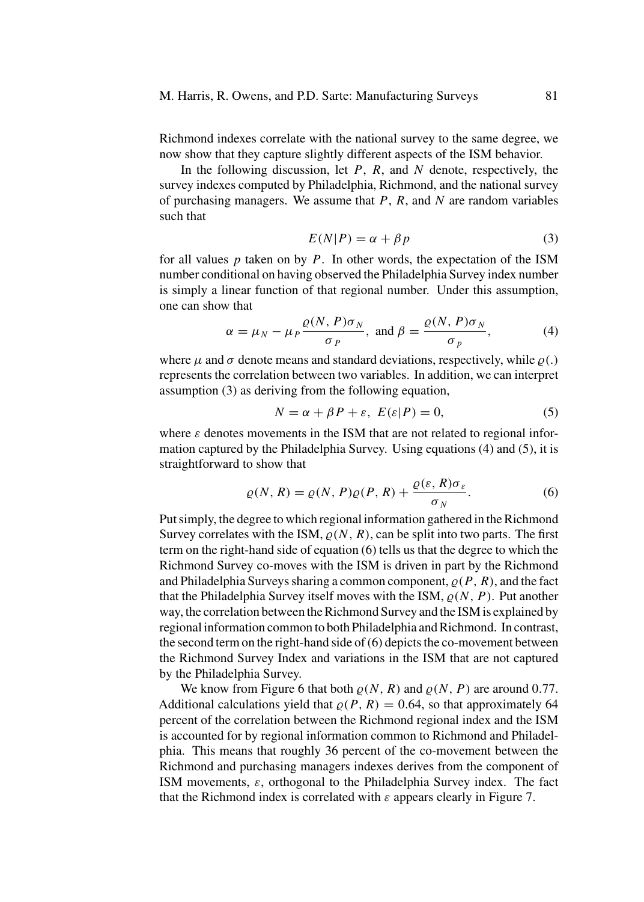Richmond indexes correlate with the national survey to the same degree, we now show that they capture slightly different aspects of the ISM behavior.

In the following discussion, let  $P$ ,  $R$ , and  $N$  denote, respectively, the survey indexes computed by Philadelphia, Richmond, and the national survey of purchasing managers. We assume that  $P$ ,  $R$ , and  $N$  are random variables such that

$$
E(N|P) = \alpha + \beta p \tag{3}
$$

for all values  $p$  taken on by  $P$ . In other words, the expectation of the ISM number conditional on having observed the Philadelphia Survey index number is simply a linear function of that regional number. Under this assumption, one can show that

$$
\alpha = \mu_N - \mu_P \frac{\varrho(N, P)\sigma_N}{\sigma_P}, \text{ and } \beta = \frac{\varrho(N, P)\sigma_N}{\sigma_p},
$$
 (4)

where  $\mu$  and  $\sigma$  denote means and standard deviations, respectively, while  $\varrho(.)$ represents the correlation between two variables. In addition, we can interpret assumption (3) as deriving from the following equation,

$$
N = \alpha + \beta P + \varepsilon, \ E(\varepsilon|P) = 0,\tag{5}
$$

where  $\varepsilon$  denotes movements in the ISM that are not related to regional information captured by the Philadelphia Survey. Using equations (4) and (5), it is straightforward to show that

$$
\varrho(N,R) = \varrho(N,P)\varrho(P,R) + \frac{\varrho(\varepsilon,R)\sigma_{\varepsilon}}{\sigma_N}.
$$
 (6)

Put simply, the degree to which regional information gathered in the Richmond Survey correlates with the ISM,  $\rho(N, R)$ , can be split into two parts. The first term on the right-hand side of equation (6) tells us that the degree to which the Richmond Survey co-moves with the ISM is driven in part by the Richmond and Philadelphia Surveys sharing a common component,  $\rho(P, R)$ , and the fact that the Philadelphia Survey itself moves with the ISM,  $\rho(N, P)$ . Put another way, the correlation between the Richmond Survey and the ISM is explained by regional information common to both Philadelphia and Richmond. In contrast, the second term on the right-hand side of (6) depicts the co-movement between the Richmond Survey Index and variations in the ISM that are not captured by the Philadelphia Survey.

We know from Figure 6 that both  $\rho(N, R)$  and  $\rho(N, P)$  are around 0.77. Additional calculations yield that  $\rho(P, R) = 0.64$ , so that approximately 64 percent of the correlation between the Richmond regional index and the ISM is accounted for by regional information common to Richmond and Philadelphia. This means that roughly 36 percent of the co-movement between the Richmond and purchasing managers indexes derives from the component of ISM movements,  $\varepsilon$ , orthogonal to the Philadelphia Survey index. The fact that the Richmond index is correlated with  $\varepsilon$  appears clearly in Figure 7.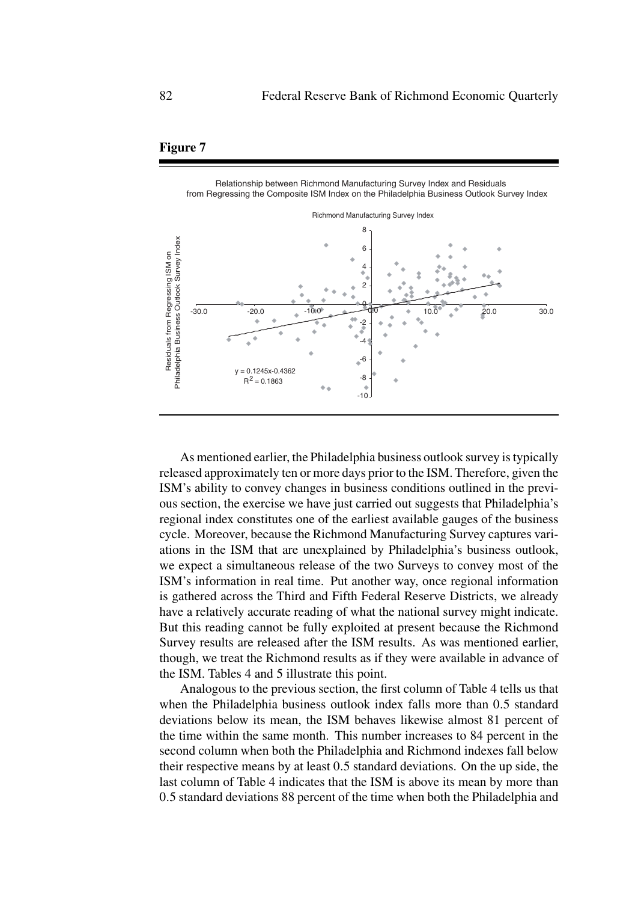



 Relationship between Richmond Manufacturing Survey Index and Residuals from Regressing the Composite ISM Index on the Philadelphia Business Outlook Survey Index

As mentioned earlier, the Philadelphia business outlook survey is typically released approximately ten or more days prior to the ISM. Therefore, given the ISM's ability to convey changes in business conditions outlined in the previous section, the exercise we have just carried out suggests that Philadelphia's regional index constitutes one of the earliest available gauges of the business cycle. Moreover, because the Richmond Manufacturing Survey captures variations in the ISM that are unexplained by Philadelphia's business outlook, we expect a simultaneous release of the two Surveys to convey most of the ISM's information in real time. Put another way, once regional information is gathered across the Third and Fifth Federal Reserve Districts, we already have a relatively accurate reading of what the national survey might indicate. But this reading cannot be fully exploited at present because the Richmond Survey results are released after the ISM results. As was mentioned earlier, though, we treat the Richmond results as if they were available in advance of the ISM. Tables 4 and 5 illustrate this point.

Analogous to the previous section, the first column of Table 4 tells us that when the Philadelphia business outlook index falls more than 0.5 standard deviations below its mean, the ISM behaves likewise almost 81 percent of the time within the same month. This number increases to 84 percent in the second column when both the Philadelphia and Richmond indexes fall below their respective means by at least 0.5 standard deviations. On the up side, the last column of Table 4 indicates that the ISM is above its mean by more than 0.5 standard deviations 88 percent of the time when both the Philadelphia and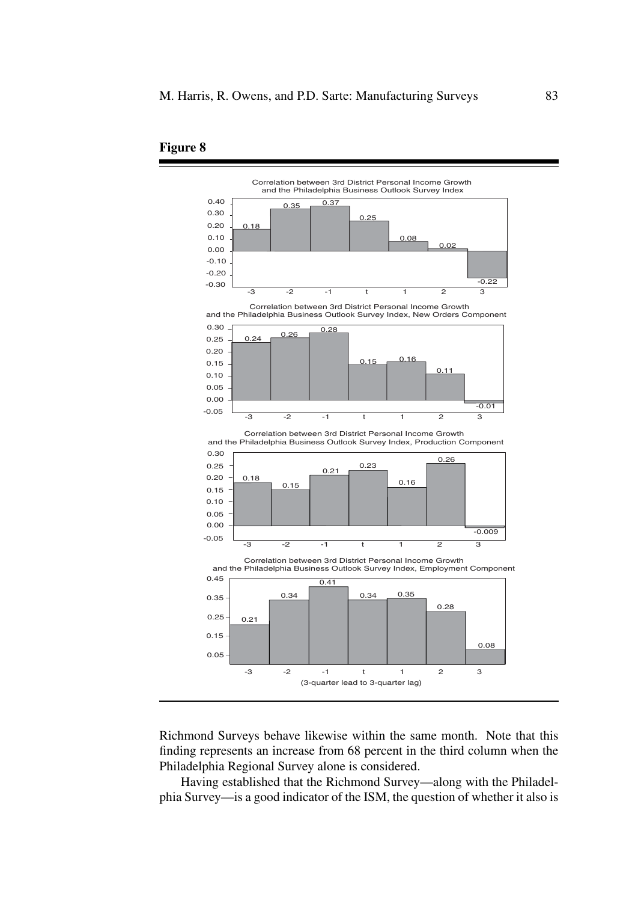

Richmond Surveys behave likewise within the same month. Note that this finding represents an increase from 68 percent in the third column when the Philadelphia Regional Survey alone is considered.

Having established that the Richmond Survey—along with the Philadelphia Survey—is a good indicator of the ISM, the question of whether it also is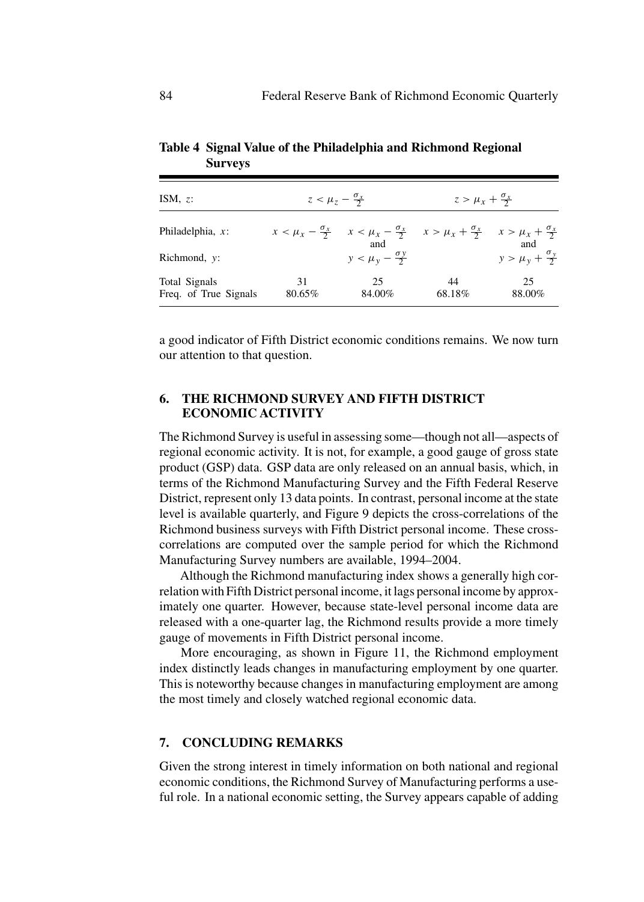| ISM, $z$ :<br>$z < \mu_z - \frac{\sigma_x}{2}$ |              |                                                                                                                                            |              | $z > \mu_x + \frac{\sigma_x}{2}$     |  |
|------------------------------------------------|--------------|--------------------------------------------------------------------------------------------------------------------------------------------|--------------|--------------------------------------|--|
| Philadelphia, $x$ :                            |              | $x < \mu_x - \frac{\sigma_x}{2}$ $x < \mu_x - \frac{\sigma_x}{2}$ $x > \mu_x + \frac{\sigma_x}{2}$ $x > \mu_x + \frac{\sigma_x}{2}$<br>and |              | and                                  |  |
| Richmond, $y$ :                                |              | $y < \mu_{v} - \frac{\sigma y}{2}$                                                                                                         |              | $y > \mu_{v} + \frac{\sigma_{y}}{2}$ |  |
| Total Signals<br>Freq. of True Signals         | 31<br>80.65% | 25<br>84.00%                                                                                                                               | 44<br>68.18% | 25<br>88.00%                         |  |

**Table 4 Signal Value of the Philadelphia and Richmond Regional Surveys**

a good indicator of Fifth District economic conditions remains. We now turn our attention to that question.

## **6. THE RICHMOND SURVEY AND FIFTH DISTRICT ECONOMIC ACTIVITY**

The Richmond Survey is useful in assessing some—though not all—aspects of regional economic activity. It is not, for example, a good gauge of gross state product (GSP) data. GSP data are only released on an annual basis, which, in terms of the Richmond Manufacturing Survey and the Fifth Federal Reserve District, represent only 13 data points. In contrast, personal income at the state level is available quarterly, and Figure 9 depicts the cross-correlations of the Richmond business surveys with Fifth District personal income. These crosscorrelations are computed over the sample period for which the Richmond Manufacturing Survey numbers are available, 1994–2004.

Although the Richmond manufacturing index shows a generally high correlation with Fifth District personal income, it lags personal income by approximately one quarter. However, because state-level personal income data are released with a one-quarter lag, the Richmond results provide a more timely gauge of movements in Fifth District personal income.

More encouraging, as shown in Figure 11, the Richmond employment index distinctly leads changes in manufacturing employment by one quarter. This is noteworthy because changes in manufacturing employment are among the most timely and closely watched regional economic data.

## **7. CONCLUDING REMARKS**

Given the strong interest in timely information on both national and regional economic conditions, the Richmond Survey of Manufacturing performs a useful role. In a national economic setting, the Survey appears capable of adding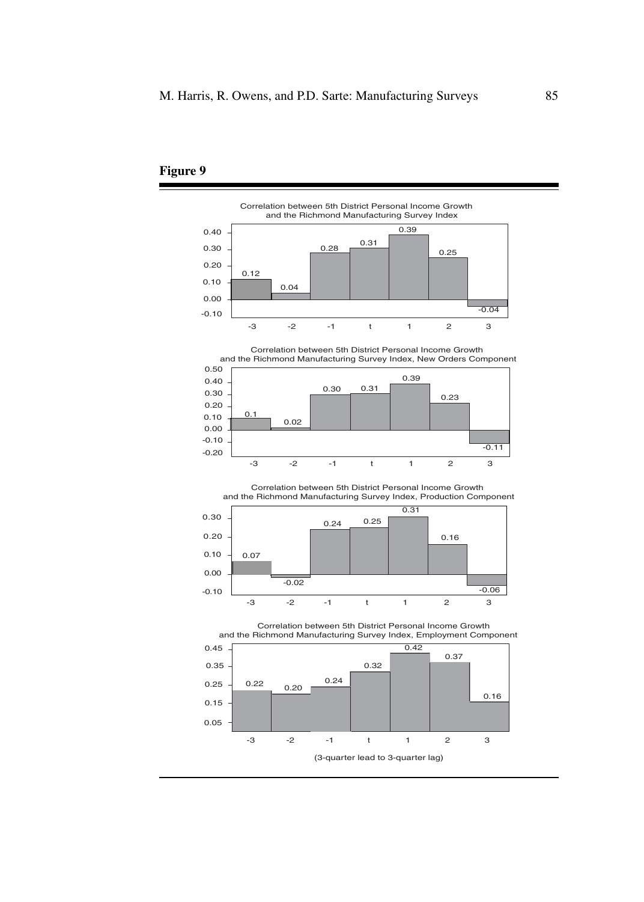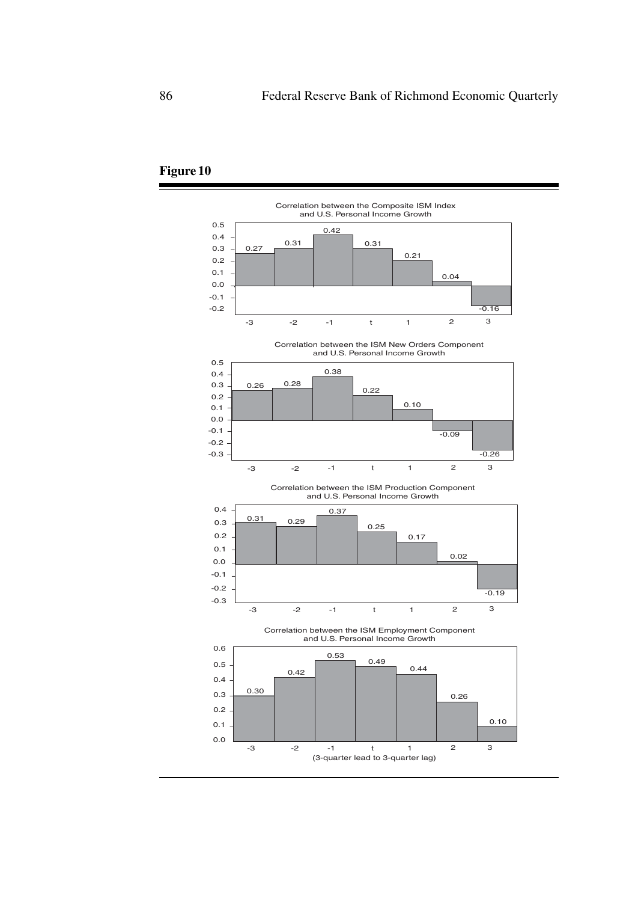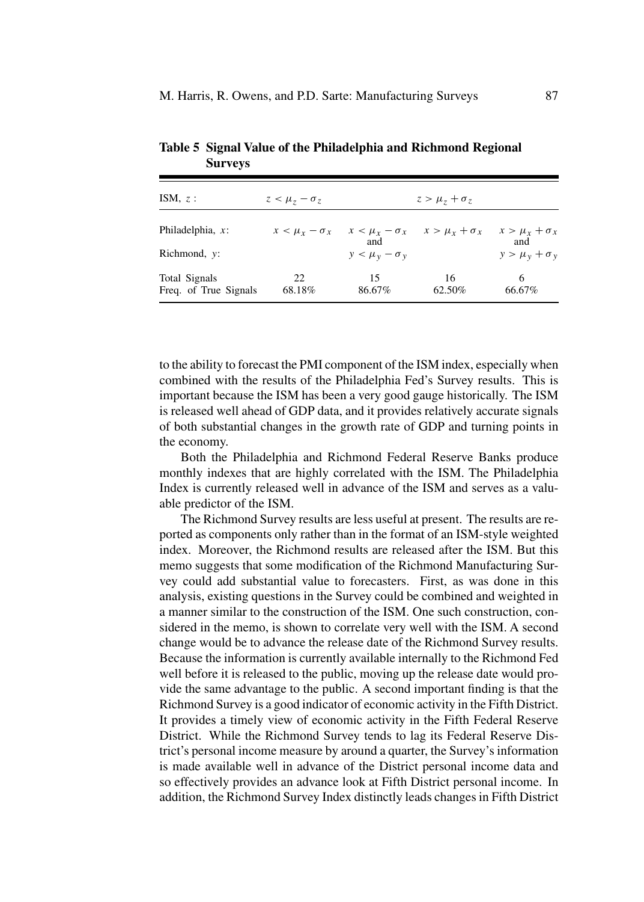| ISM, $z$ :                             | $z < \mu_z - \sigma_z$ |                            | $z > \mu_z + \sigma_z$                                |                               |  |
|----------------------------------------|------------------------|----------------------------|-------------------------------------------------------|-------------------------------|--|
| Philadelphia, $x$ :                    | $x < \mu_x - \sigma_x$ | and                        | $x < \mu_{r} - \sigma_{x}$ $x > \mu_{r} + \sigma_{x}$ | $x > \mu_x + \sigma_x$<br>and |  |
| Richmond, $y$ :                        |                        | $y < \mu_{v} - \sigma_{v}$ |                                                       | $y > \mu_v + \sigma_v$        |  |
| Total Signals<br>Freq. of True Signals | 22.<br>68.18%          | 15<br>86.67%               | 16<br>62.50%                                          | 6<br>66.67%                   |  |

**Table 5 Signal Value of the Philadelphia and Richmond Regional Surveys**

to the ability to forecast the PMI component of the ISM index, especially when combined with the results of the Philadelphia Fed's Survey results. This is important because the ISM has been a very good gauge historically. The ISM is released well ahead of GDP data, and it provides relatively accurate signals of both substantial changes in the growth rate of GDP and turning points in the economy.

Both the Philadelphia and Richmond Federal Reserve Banks produce monthly indexes that are highly correlated with the ISM. The Philadelphia Index is currently released well in advance of the ISM and serves as a valuable predictor of the ISM.

The Richmond Survey results are less useful at present. The results are reported as components only rather than in the format of an ISM-style weighted index. Moreover, the Richmond results are released after the ISM. But this memo suggests that some modification of the Richmond Manufacturing Survey could add substantial value to forecasters. First, as was done in this analysis, existing questions in the Survey could be combined and weighted in a manner similar to the construction of the ISM. One such construction, considered in the memo, is shown to correlate very well with the ISM. A second change would be to advance the release date of the Richmond Survey results. Because the information is currently available internally to the Richmond Fed well before it is released to the public, moving up the release date would provide the same advantage to the public. A second important finding is that the Richmond Survey is a good indicator of economic activity in the Fifth District. It provides a timely view of economic activity in the Fifth Federal Reserve District. While the Richmond Survey tends to lag its Federal Reserve District's personal income measure by around a quarter, the Survey's information is made available well in advance of the District personal income data and so effectively provides an advance look at Fifth District personal income. In addition, the Richmond Survey Index distinctly leads changes in Fifth District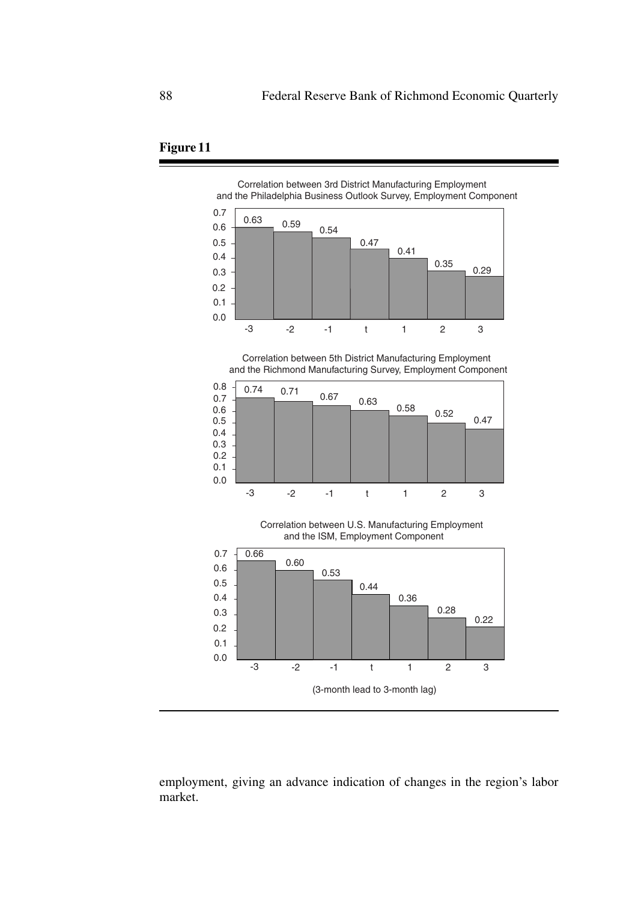



employment, giving an advance indication of changes in the region's labor market.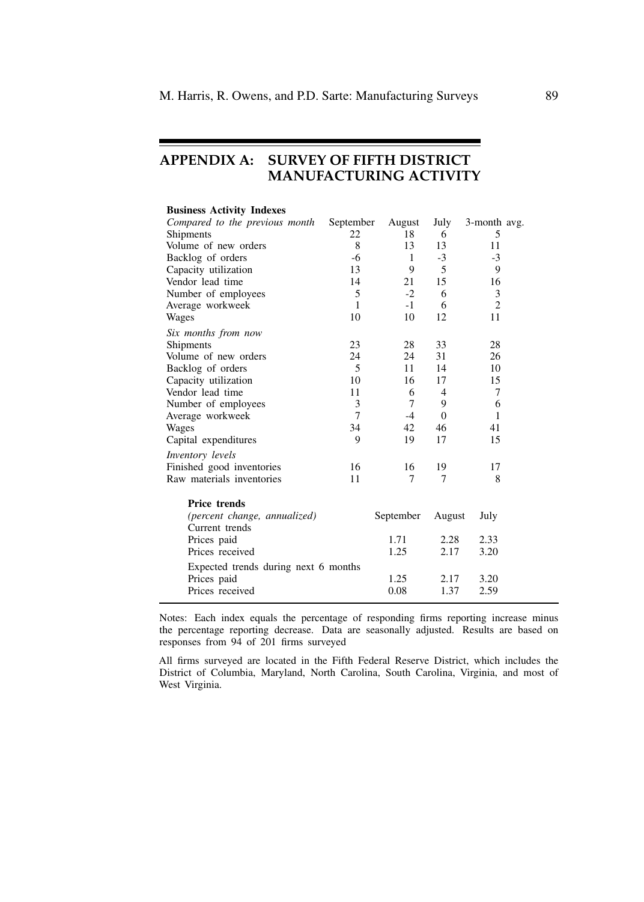# **APPENDIX A: SURVEY OF FIFTH DISTRICT MANUFACTURING ACTIVITY**

| <b>Business Activity Indexes</b>               |                |           |          |                |
|------------------------------------------------|----------------|-----------|----------|----------------|
| Compared to the previous month                 | September      | August    | July     | 3-month avg.   |
| Shipments                                      | 22             | 18        | 6        | 5              |
| Volume of new orders                           | 8              | 13        | 13       | 11             |
| Backlog of orders                              | -6             | 1         | $-3$     | $-3$           |
| Capacity utilization                           | 13             | 9         | 5        | 9              |
| Vendor lead time                               | 14             | 21        | 15       | 16             |
| Number of employees                            | 5              | $-2$      | 6        | 3              |
| Average workweek                               | 1              | $-1$      | 6        | $\overline{c}$ |
| Wages                                          | 10             | 10        | 12       | 11             |
| Six months from now                            |                |           |          |                |
| Shipments                                      | 23             | 28        | 33       | 28             |
| Volume of new orders                           | 24             | 24        | 31       | 26             |
| Backlog of orders                              | 5              | 11        | 14       | 10             |
| Capacity utilization                           | 10             | 16        | 17       | 15             |
| Vendor lead time                               | 11             | 6         | 4        | 7              |
| Number of employees                            | 3              | 7         | 9        | 6              |
| Average workweek                               | $\overline{7}$ | $-4$      | $\theta$ | 1              |
| Wages                                          | 34             | 42        | 46       | 41             |
| Capital expenditures                           | 9              | 19        | 17       | 15             |
| <i>Inventory levels</i>                        |                |           |          |                |
| Finished good inventories                      | 16             | 16        | 19       | 17             |
| Raw materials inventories                      | 11             | 7         | 7        | 8              |
| <b>Price trends</b>                            |                |           |          |                |
| (percent change, annualized)<br>Current trends |                | September | August   | July           |
| Prices paid                                    |                | 1.71      | 2.28     | 2.33           |
| Prices received                                |                | 1.25      | 2.17     | 3.20           |
| Expected trends during next 6 months           |                |           |          |                |
| Prices paid                                    |                | 1.25      | 2.17     | 3.20           |
| Prices received                                |                | 0.08      | 1.37     | 2.59           |

Notes: Each index equals the percentage of responding firms reporting increase minus the percentage reporting decrease. Data are seasonally adjusted. Results are based on responses from 94 of 201 firms surveyed

All firms surveyed are located in the Fifth Federal Reserve District, which includes the District of Columbia, Maryland, North Carolina, South Carolina, Virginia, and most of West Virginia.

÷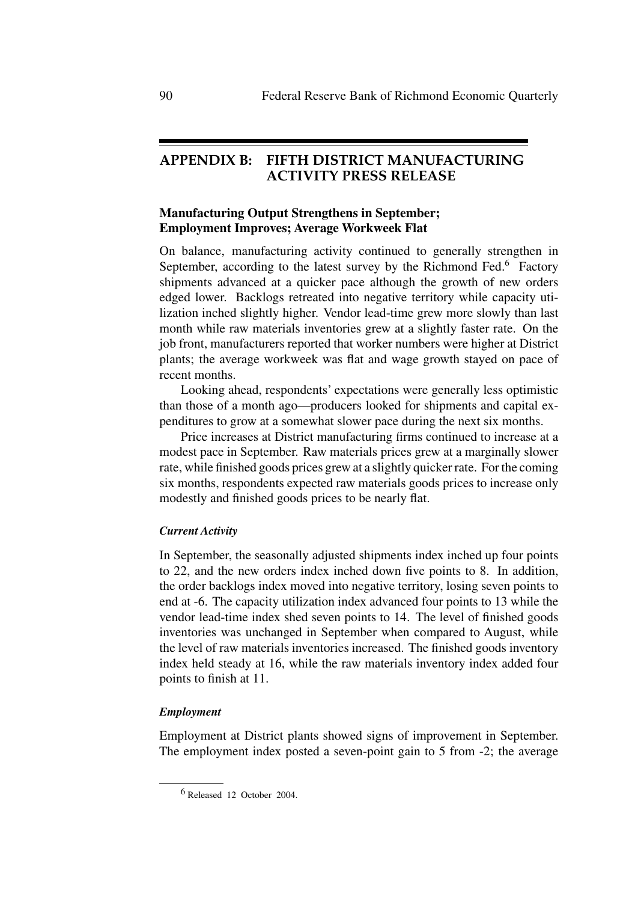# **APPENDIX B: FIFTH DISTRICT MANUFACTURING ACTIVITY PRESS RELEASE**

## **Manufacturing Output Strengthens in September; Employment Improves; Average Workweek Flat**

On balance, manufacturing activity continued to generally strengthen in September, according to the latest survey by the Richmond Fed.<sup>6</sup> Factory shipments advanced at a quicker pace although the growth of new orders edged lower. Backlogs retreated into negative territory while capacity utilization inched slightly higher. Vendor lead-time grew more slowly than last month while raw materials inventories grew at a slightly faster rate. On the job front, manufacturers reported that worker numbers were higher at District plants; the average workweek was flat and wage growth stayed on pace of recent months.

Looking ahead, respondents' expectations were generally less optimistic than those of a month ago—producers looked for shipments and capital expenditures to grow at a somewhat slower pace during the next six months.

Price increases at District manufacturing firms continued to increase at a modest pace in September. Raw materials prices grew at a marginally slower rate, while finished goods prices grew at a slightly quicker rate. For the coming six months, respondents expected raw materials goods prices to increase only modestly and finished goods prices to be nearly flat.

## *Current Activity*

In September, the seasonally adjusted shipments index inched up four points to 22, and the new orders index inched down five points to 8. In addition, the order backlogs index moved into negative territory, losing seven points to end at -6. The capacity utilization index advanced four points to 13 while the vendor lead-time index shed seven points to 14. The level of finished goods inventories was unchanged in September when compared to August, while the level of raw materials inventories increased. The finished goods inventory index held steady at 16, while the raw materials inventory index added four points to finish at 11.

## *Employment*

Employment at District plants showed signs of improvement in September. The employment index posted a seven-point gain to 5 from -2; the average

<sup>6</sup> Released 12 October 2004.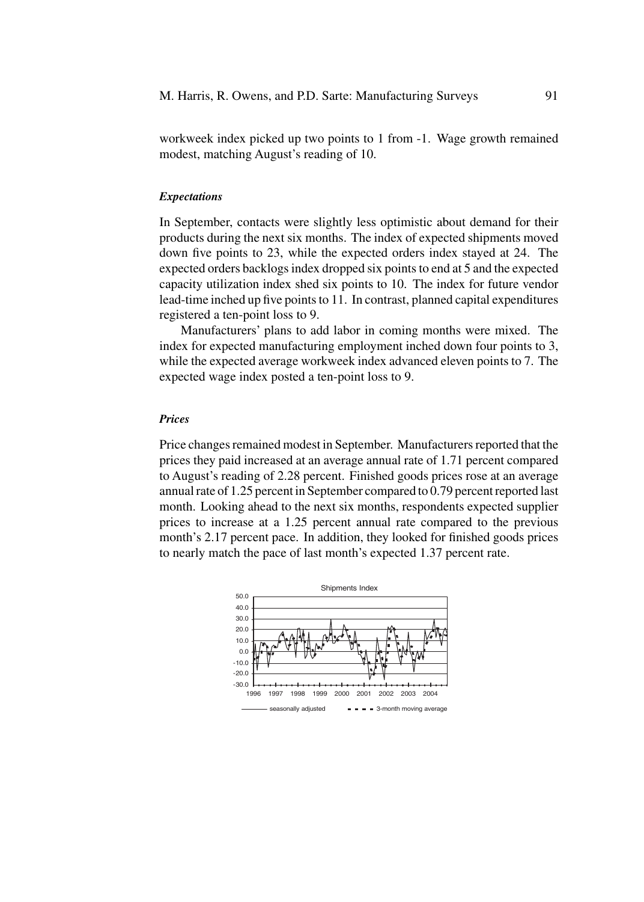workweek index picked up two points to 1 from -1. Wage growth remained modest, matching August's reading of 10.

#### *Expectations*

In September, contacts were slightly less optimistic about demand for their products during the next six months. The index of expected shipments moved down five points to 23, while the expected orders index stayed at 24. The expected orders backlogs index dropped six points to end at 5 and the expected capacity utilization index shed six points to 10. The index for future vendor lead-time inched up five points to 11. In contrast, planned capital expenditures registered a ten-point loss to 9.

Manufacturers' plans to add labor in coming months were mixed. The index for expected manufacturing employment inched down four points to 3, while the expected average workweek index advanced eleven points to 7. The expected wage index posted a ten-point loss to 9.

## *Prices*

Price changes remained modest in September. Manufacturers reported that the prices they paid increased at an average annual rate of 1.71 percent compared to August's reading of 2.28 percent. Finished goods prices rose at an average annual rate of 1.25 percent in September compared to 0.79 percent reported last month. Looking ahead to the next six months, respondents expected supplier prices to increase at a 1.25 percent annual rate compared to the previous month's 2.17 percent pace. In addition, they looked for finished goods prices to nearly match the pace of last month's expected 1.37 percent rate.